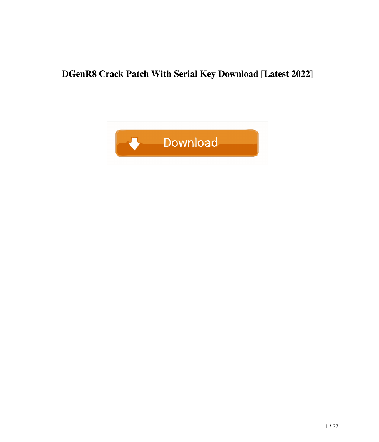**DGenR8 Crack Patch With Serial Key Download [Latest 2022]**

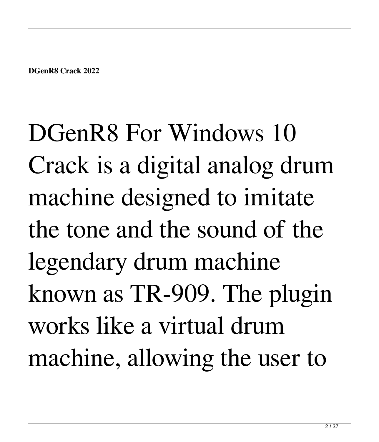DGenR8 For Windows 10 Crack is a digital analog drum machine designed to imitate the tone and the sound of the legendary drum machine known as TR-909. The plugin works like a virtual drum machine, allowing the user to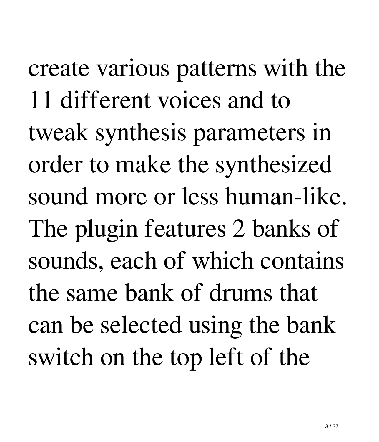create various patterns with the 11 different voices and to tweak synthesis parameters in order to make the synthesized sound more or less human-like. The plugin features 2 banks of sounds, each of which contains the same bank of drums that can be selected using the bank switch on the top left of the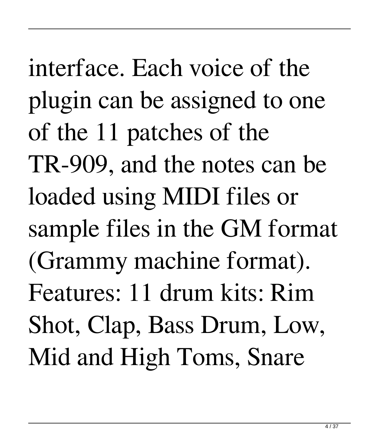interface. Each voice of the plugin can be assigned to one of the 11 patches of the TR-909, and the notes can be loaded using MIDI files or sample files in the GM format (Grammy machine format). Features: 11 drum kits: Rim Shot, Clap, Bass Drum, Low, Mid and High Toms, Snare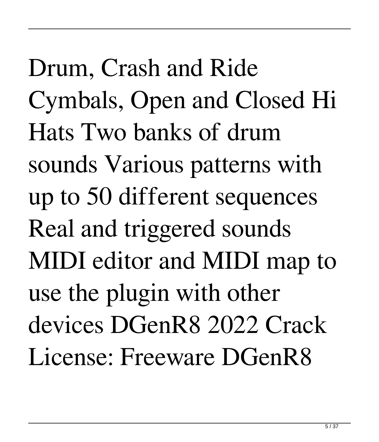Drum, Crash and Ride Cymbals, Open and Closed Hi Hats Two banks of drum sounds Various patterns with up to 50 different sequences Real and triggered sounds MIDI editor and MIDI map to use the plugin with other devices DGenR8 2022 Crack License: Freeware DGenR8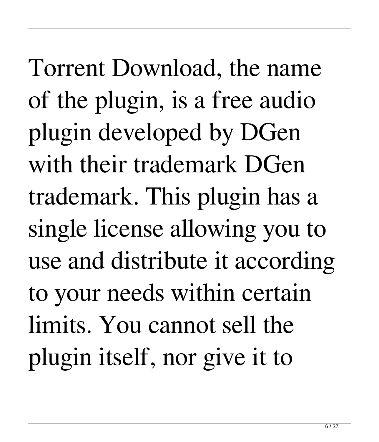Torrent Download, the name of the plugin, is a free audio plugin developed by DGen with their trademark DGen trademark. This plugin has a single license allowing you to use and distribute it according to your needs within certain limits. You cannot sell the plugin itself, nor give it to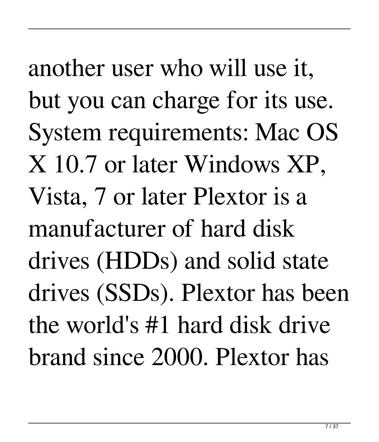another user who will use it, but you can charge for its use. System requirements: Mac OS X 10.7 or later Windows XP, Vista, 7 or later Plextor is a manufacturer of hard disk drives (HDDs) and solid state drives (SSDs). Plextor has been the world's #1 hard disk drive brand since 2000. Plextor has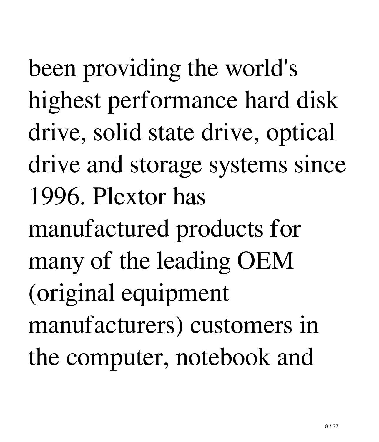been providing the world's highest performance hard disk drive, solid state drive, optical drive and storage systems since 1996. Plextor has manufactured products for many of the leading OEM (original equipment manufacturers) customers in the computer, notebook and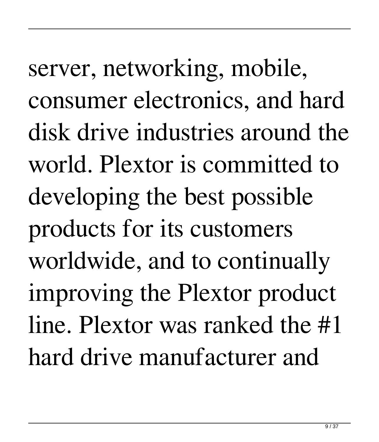server, networking, mobile, consumer electronics, and hard disk drive industries around the world. Plextor is committed to developing the best possible products for its customers worldwide, and to continually improving the Plextor product line. Plextor was ranked the #1 hard drive manufacturer and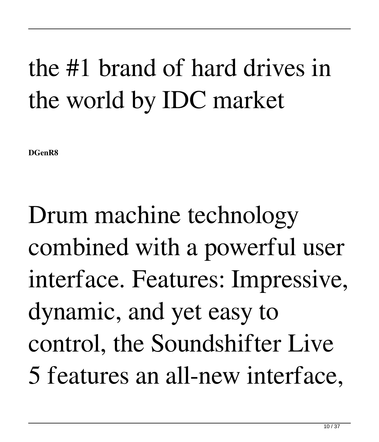## the #1 brand of hard drives in the world by IDC market

**DGenR8**

Drum machine technology combined with a powerful user interface. Features: Impressive, dynamic, and yet easy to control, the Soundshifter Live 5 features an all-new interface,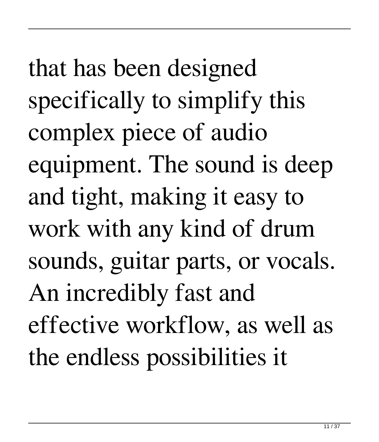that has been designed specifically to simplify this complex piece of audio equipment. The sound is deep and tight, making it easy to work with any kind of drum sounds, guitar parts, or vocals. An incredibly fast and effective workflow, as well as the endless possibilities it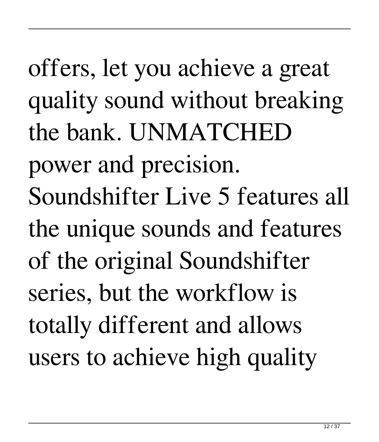offers, let you achieve a great quality sound without breaking the bank. UNMATCHED power and precision. Soundshifter Live 5 features all the unique sounds and features of the original Soundshifter series, but the workflow is totally different and allows users to achieve high quality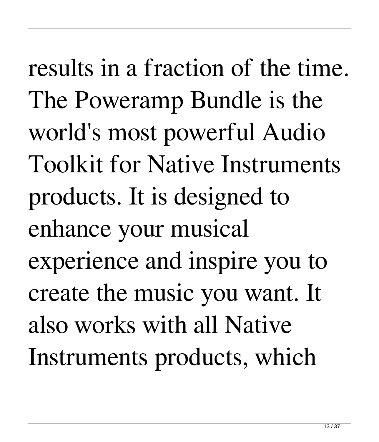results in a fraction of the time. The Poweramp Bundle is the world's most powerful Audio Toolkit for Native Instruments products. It is designed to enhance your musical experience and inspire you to create the music you want. It also works with all Native Instruments products, which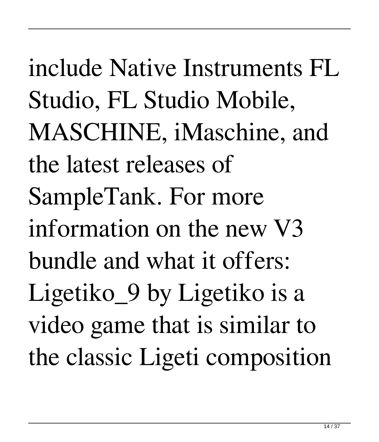include Native Instruments FL Studio, FL Studio Mobile, MASCHINE, iMaschine, and the latest releases of SampleTank. For more information on the new V3 bundle and what it offers: Ligetiko\_9 by Ligetiko is a video game that is similar to the classic Ligeti composition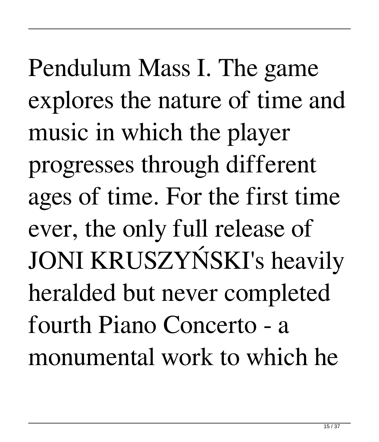Pendulum Mass I. The game explores the nature of time and music in which the player progresses through different ages of time. For the first time ever, the only full release of JONI KRUSZYŃSKI's heavily heralded but never completed fourth Piano Concerto - a monumental work to which he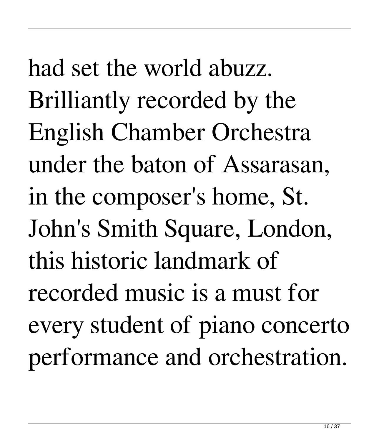had set the world abuzz. Brilliantly recorded by the English Chamber Orchestra under the baton of Assarasan, in the composer's home, St. John's Smith Square, London, this historic landmark of recorded music is a must for every student of piano concerto performance and orchestration.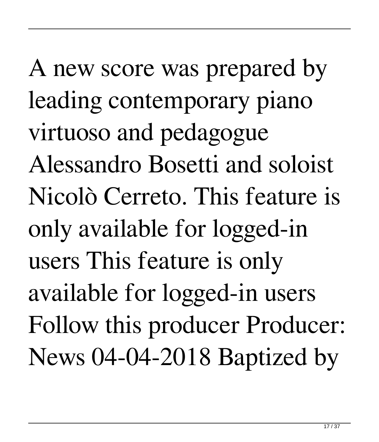A new score was prepared by leading contemporary piano virtuoso and pedagogue Alessandro Bosetti and soloist Nicolò Cerreto. This feature is only available for logged-in users This feature is only available for logged-in users Follow this producer Producer: News 04-04-2018 Baptized by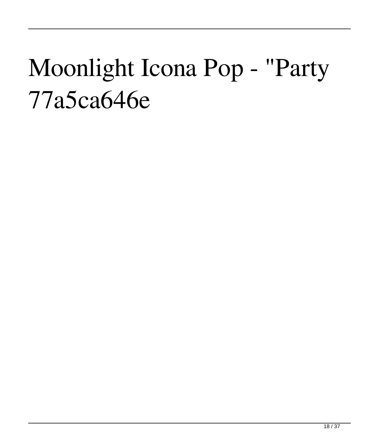## Moonlight Icona Pop - "Party 77a5ca646e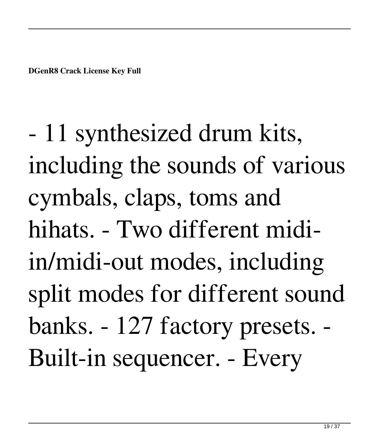- 11 synthesized drum kits, including the sounds of various cymbals, claps, toms and hihats. - Two different midiin/midi-out modes, including split modes for different sound banks. - 127 factory presets. - Built-in sequencer. - Every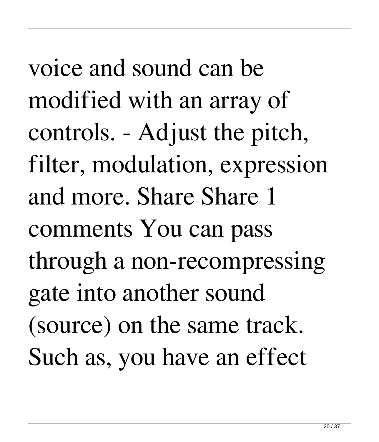voice and sound can be modified with an array of controls. - Adjust the pitch, filter, modulation, expression and more. Share Share 1 comments You can pass through a non-recompressing gate into another sound (source) on the same track. Such as, you have an effect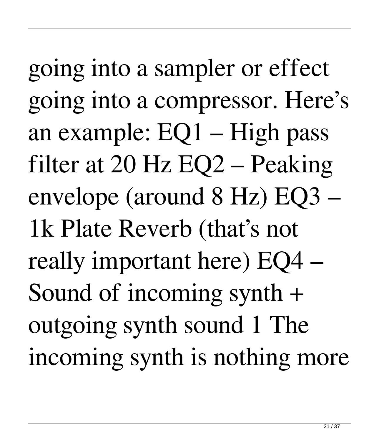going into a sampler or effect going into a compressor. Here's an example: EQ1 – High pass filter at 20 Hz EQ2 – Peaking envelope (around 8 Hz) EQ3 – 1k Plate Reverb (that's not really important here) EQ4 – Sound of incoming synth + outgoing synth sound 1 The incoming synth is nothing more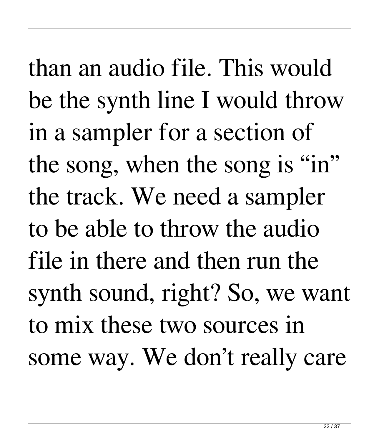than an audio file. This would be the synth line I would throw in a sampler for a section of the song, when the song is "in" the track. We need a sampler to be able to throw the audio file in there and then run the synth sound, right? So, we want to mix these two sources in some way. We don't really care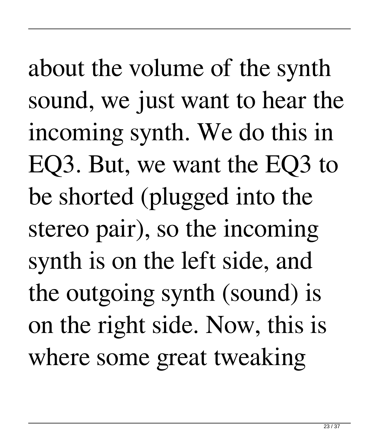about the volume of the synth sound, we just want to hear the incoming synth. We do this in EQ3. But, we want the EQ3 to be shorted (plugged into the stereo pair), so the incoming synth is on the left side, and the outgoing synth (sound) is on the right side. Now, this is where some great tweaking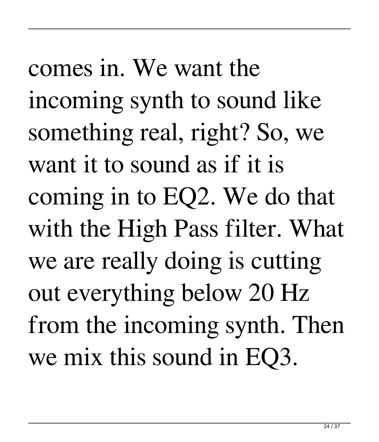comes in. We want the incoming synth to sound like something real, right? So, we want it to sound as if it is coming in to EQ2. We do that with the High Pass filter. What we are really doing is cutting out everything below 20 Hz from the incoming synth. Then we mix this sound in EQ3.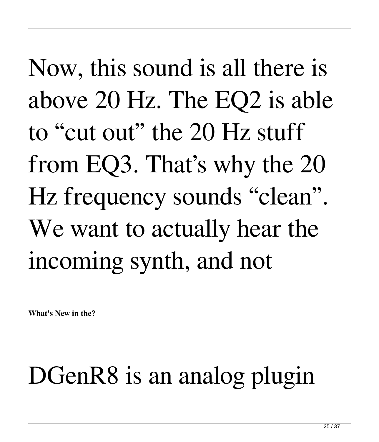Now, this sound is all there is above 20 Hz. The EQ2 is able to "cut out" the 20 Hz stuff from EQ3. That's why the 20 Hz frequency sounds "clean". We want to actually hear the incoming synth, and not

**What's New in the?**

## DGenR8 is an analog plugin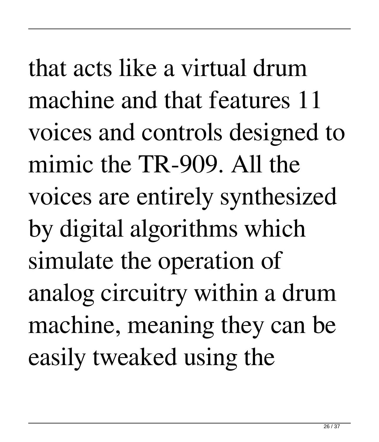that acts like a virtual drum machine and that features 11 voices and controls designed to mimic the TR-909. All the voices are entirely synthesized by digital algorithms which simulate the operation of analog circuitry within a drum machine, meaning they can be easily tweaked using the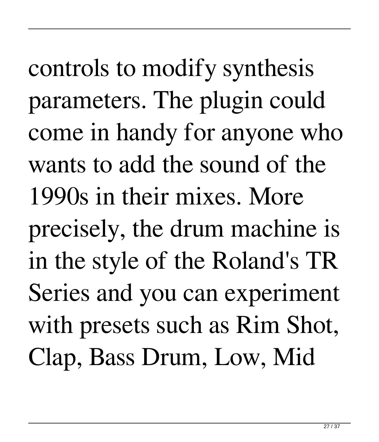controls to modify synthesis parameters. The plugin could come in handy for anyone who wants to add the sound of the 1990s in their mixes. More precisely, the drum machine is in the style of the Roland's TR Series and you can experiment with presets such as Rim Shot, Clap, Bass Drum, Low, Mid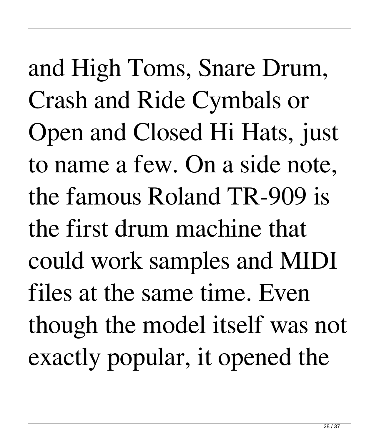and High Toms, Snare Drum, Crash and Ride Cymbals or Open and Closed Hi Hats, just to name a few. On a side note, the famous Roland TR-909 is the first drum machine that could work samples and MIDI files at the same time. Even though the model itself was not exactly popular, it opened the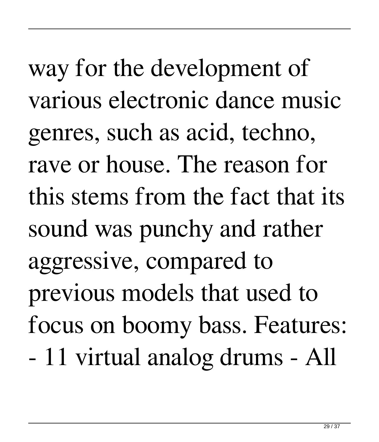way for the development of various electronic dance music genres, such as acid, techno, rave or house. The reason for this stems from the fact that its sound was punchy and rather aggressive, compared to previous models that used to focus on boomy bass. Features: - 11 virtual analog drums - All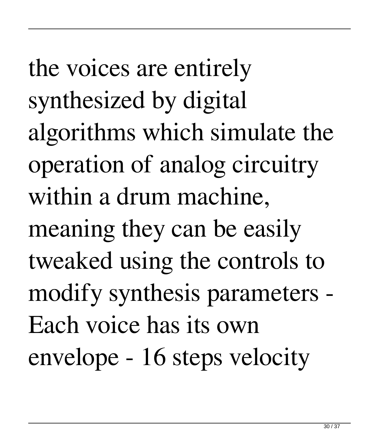the voices are entirely synthesized by digital algorithms which simulate the operation of analog circuitry within a drum machine, meaning they can be easily tweaked using the controls to modify synthesis parameters - Each voice has its own envelope - 16 steps velocity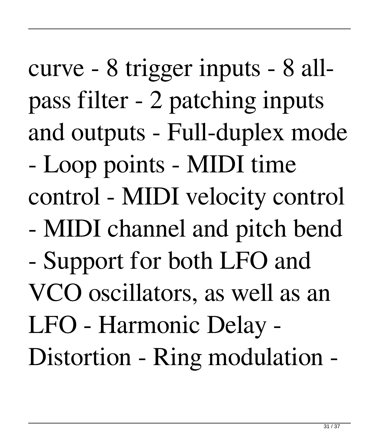curve - 8 trigger inputs - 8 allpass filter - 2 patching inputs and outputs - Full-duplex mode - Loop points - MIDI time control - MIDI velocity control - MIDI channel and pitch bend - Support for both LFO and VCO oscillators, as well as an LFO - Harmonic Delay - Distortion - Ring modulation -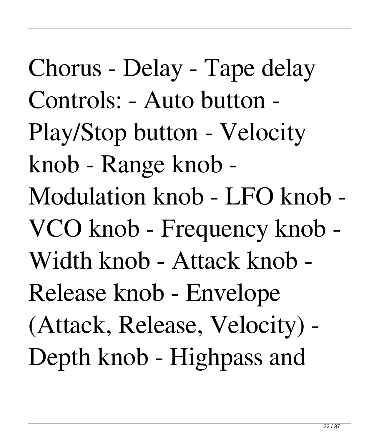Chorus - Delay - Tape delay Controls: - Auto button - Play/Stop button - Velocity knob - Range knob - Modulation knob - LFO knob - VCO knob - Frequency knob - Width knob - Attack knob - Release knob - Envelope (Attack, Release, Velocity) - Depth knob - Highpass and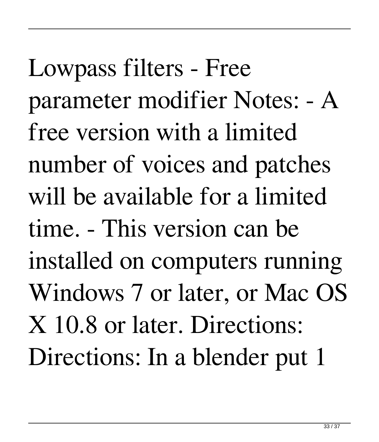Lowpass filters - Free parameter modifier Notes: - A free version with a limited number of voices and patches will be available for a limited time. - This version can be installed on computers running Windows 7 or later, or Mac OS X 10.8 or later. Directions: Directions: In a blender put 1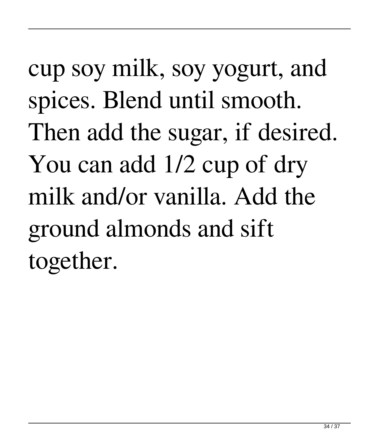cup soy milk, soy yogurt, and spices. Blend until smooth. Then add the sugar, if desired. You can add 1/2 cup of dry milk and/or vanilla. Add the ground almonds and sift together.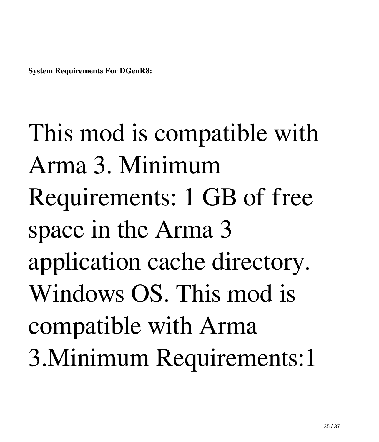**System Requirements For DGenR8:**

This mod is compatible with Arma 3. Minimum Requirements: 1 GB of free space in the Arma 3 application cache directory. Windows OS. This mod is compatible with Arma 3.Minimum Requirements:1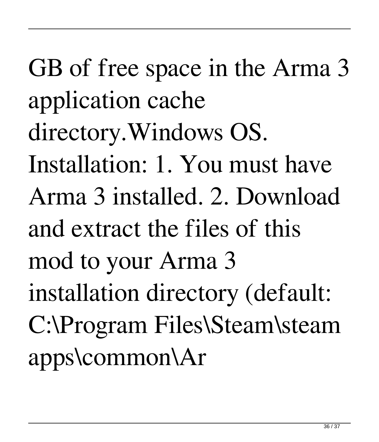GB of free space in the Arma 3 application cache directory.Windows OS. Installation: 1. You must have Arma 3 installed. 2. Download and extract the files of this mod to your Arma 3 installation directory (default: C:\Program Files\Steam\steam apps\common\Ar